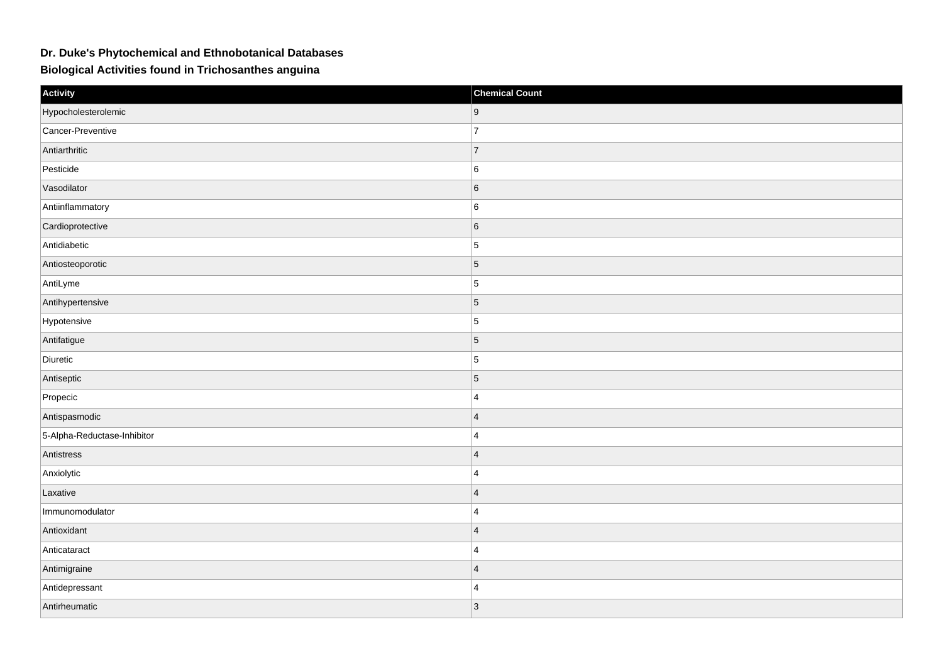## **Dr. Duke's Phytochemical and Ethnobotanical Databases**

**Biological Activities found in Trichosanthes anguina**

| Activity                    | <b>Chemical Count</b> |
|-----------------------------|-----------------------|
| Hypocholesterolemic         | 9                     |
| Cancer-Preventive           | $\overline{7}$        |
| Antiarthritic               | $\overline{7}$        |
| Pesticide                   | $6\overline{6}$       |
| Vasodilator                 | $6\overline{6}$       |
| Antiinflammatory            | 6                     |
| Cardioprotective            | $6\overline{6}$       |
| Antidiabetic                | $\overline{5}$        |
| Antiosteoporotic            | $\overline{5}$        |
| AntiLyme                    | $\overline{5}$        |
| Antihypertensive            | $\overline{5}$        |
| Hypotensive                 | $\overline{5}$        |
| Antifatigue                 | $\overline{5}$        |
| Diuretic                    | $\overline{5}$        |
| Antiseptic                  | $\overline{5}$        |
| Propecic                    | $\overline{4}$        |
| Antispasmodic               | $\overline{4}$        |
| 5-Alpha-Reductase-Inhibitor | $\overline{4}$        |
| Antistress                  | $\overline{4}$        |
| Anxiolytic                  | $\overline{4}$        |
| Laxative                    | $\overline{4}$        |
| Immunomodulator             | $\overline{4}$        |
| Antioxidant                 | $\overline{4}$        |
| Anticataract                | $\overline{4}$        |
| Antimigraine                | $\overline{4}$        |
| Antidepressant              | $\overline{4}$        |
| Antirheumatic               | $ 3\rangle$           |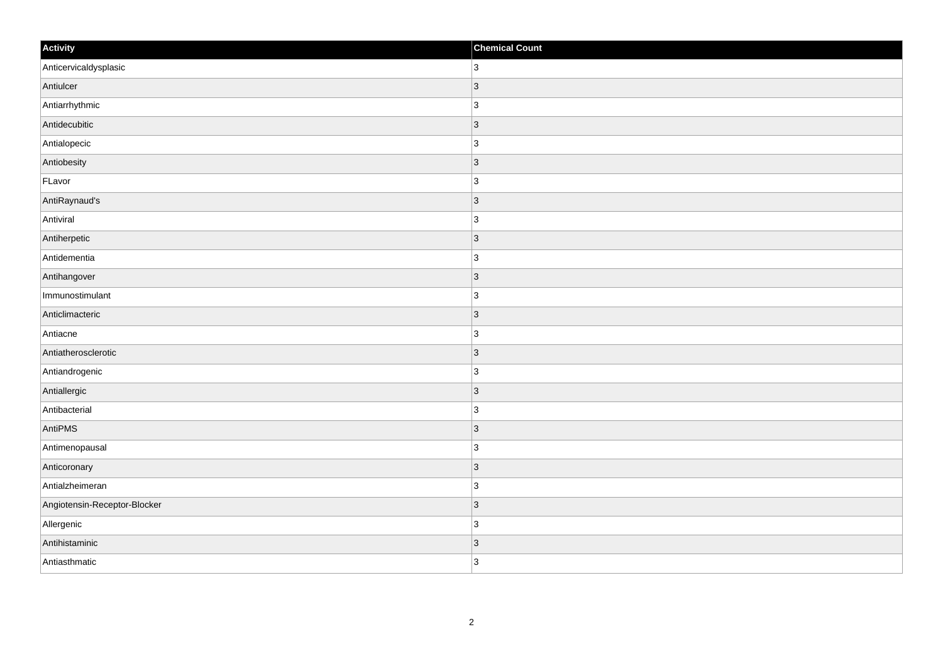| Activity                     | <b>Chemical Count</b> |
|------------------------------|-----------------------|
| Anticervicaldysplasic        | 3                     |
| Antiulcer                    | 3                     |
| Antiarrhythmic               | $\overline{3}$        |
| Antidecubitic                | $ 3\rangle$           |
| Antialopecic                 | 3                     |
| Antiobesity                  | 3                     |
| FLavor                       | 3                     |
| AntiRaynaud's                | 3                     |
| Antiviral                    | 3                     |
| Antiherpetic                 | 3                     |
| Antidementia                 | $\overline{3}$        |
| Antihangover                 | 3                     |
| Immunostimulant              | $\overline{3}$        |
| Anticlimacteric              | 3                     |
| Antiacne                     | 3                     |
| Antiatherosclerotic          | 3                     |
| Antiandrogenic               | $\overline{3}$        |
| Antiallergic                 | 3                     |
| Antibacterial                | $\overline{3}$        |
| AntiPMS                      | 3                     |
| Antimenopausal               | 3                     |
| Anticoronary                 | 3                     |
| Antialzheimeran              | 3                     |
| Angiotensin-Receptor-Blocker | 3                     |
| Allergenic                   | 3                     |
| Antihistaminic               | 3                     |
| Antiasthmatic                | 3                     |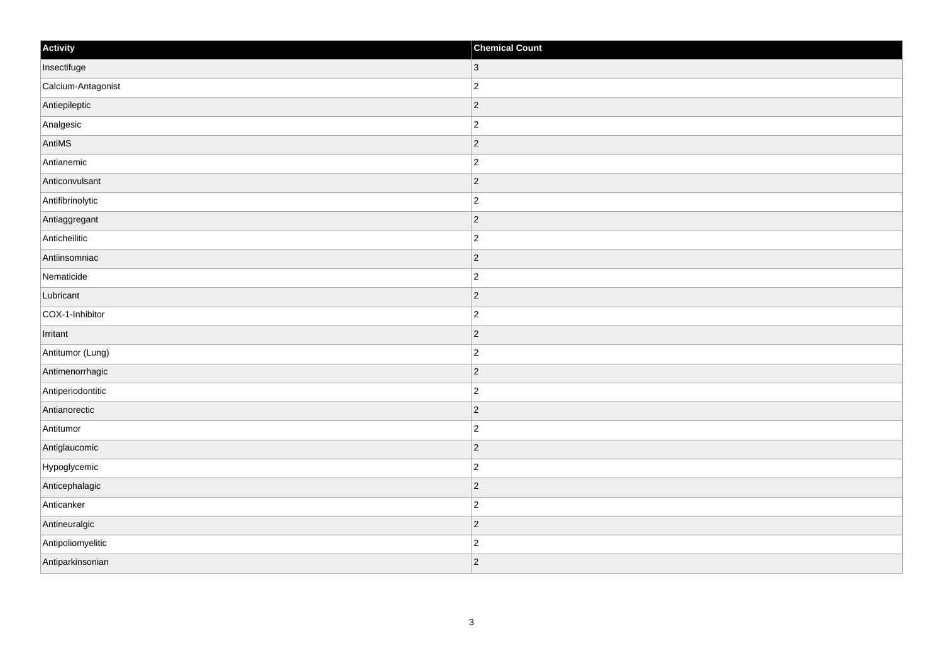| Activity           | <b>Chemical Count</b> |
|--------------------|-----------------------|
| Insectifuge        | $ 3\rangle$           |
| Calcium-Antagonist | $\overline{2}$        |
| Antiepileptic      | $ 2\rangle$           |
| Analgesic          | $\overline{c}$        |
| AntiMS             | $\overline{2}$        |
| Antianemic         | $ 2\rangle$           |
| Anticonvulsant     | $ 2\rangle$           |
| Antifibrinolytic   | $\overline{c}$        |
| Antiaggregant      | $ 2\rangle$           |
| Anticheilitic      | $ 2\rangle$           |
| Antiinsomniac      | $\overline{2}$        |
| Nematicide         | $ 2\rangle$           |
| Lubricant          | $ 2\rangle$           |
| COX-1-Inhibitor    | $\overline{c}$        |
| Irritant           | $ 2\rangle$           |
| Antitumor (Lung)   | $ 2\rangle$           |
| Antimenorrhagic    | $ 2\rangle$           |
| Antiperiodontitic  | $ 2\rangle$           |
| Antianorectic      | 2                     |
| Antitumor          | $\overline{c}$        |
| Antiglaucomic      | $ 2\rangle$           |
| Hypoglycemic       | $ 2\rangle$           |
| Anticephalagic     | $ 2\rangle$           |
| Anticanker         | $\overline{c}$        |
| Antineuralgic      | $ 2\rangle$           |
| Antipoliomyelitic  | $\overline{c}$        |
| Antiparkinsonian   | $ 2\rangle$           |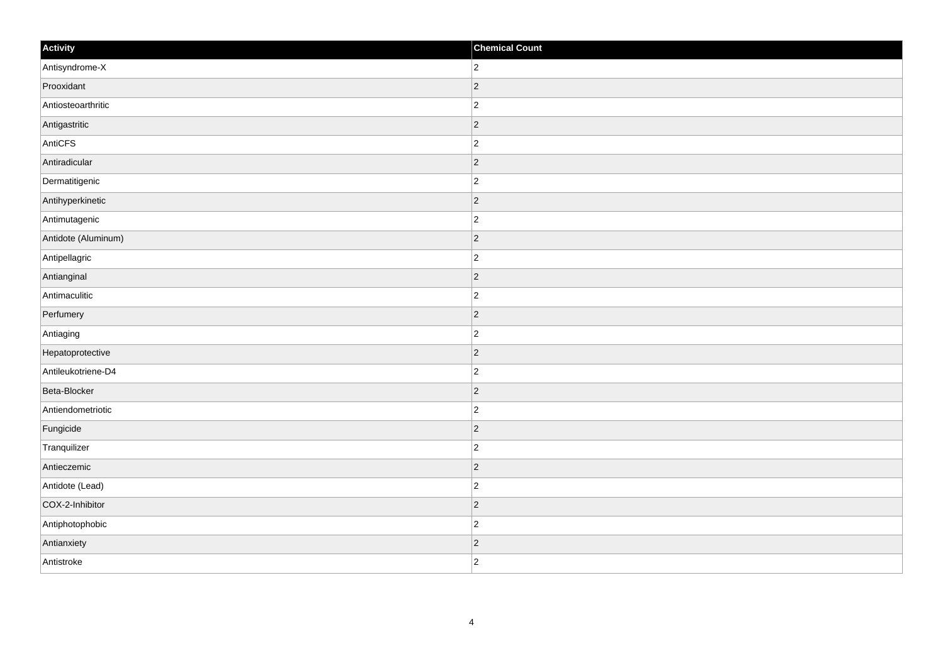| Activity            | <b>Chemical Count</b> |
|---------------------|-----------------------|
| Antisyndrome-X      | $ 2\rangle$           |
| Prooxidant          | $ 2\rangle$           |
| Antiosteoarthritic  | $\vert$ 2             |
| Antigastritic       | $ 2\rangle$           |
| AntiCFS             | $ 2\rangle$           |
| Antiradicular       | $ 2\rangle$           |
| Dermatitigenic      | $ 2\rangle$           |
| Antihyperkinetic    | $ 2\rangle$           |
| Antimutagenic       | $ 2\rangle$           |
| Antidote (Aluminum) | $ 2\rangle$           |
| Antipellagric       | $ 2\rangle$           |
| Antianginal         | $ 2\rangle$           |
| Antimaculitic       | $ 2\rangle$           |
| Perfumery           | $ 2\rangle$           |
| Antiaging           | $ 2\rangle$           |
| Hepatoprotective    | $ 2\rangle$           |
| Antileukotriene-D4  | $ 2\rangle$           |
| Beta-Blocker        | $\vert$ 2             |
| Antiendometriotic   | $\vert$ 2             |
| Fungicide           | $ 2\rangle$           |
| Tranquilizer        | $ 2\rangle$           |
| Antieczemic         | $ 2\rangle$           |
| Antidote (Lead)     | $\vert$ 2             |
| COX-2-Inhibitor     | $ 2\rangle$           |
| Antiphotophobic     | $ 2\rangle$           |
| Antianxiety         | $\vert$ 2             |
| Antistroke          | $ 2\rangle$           |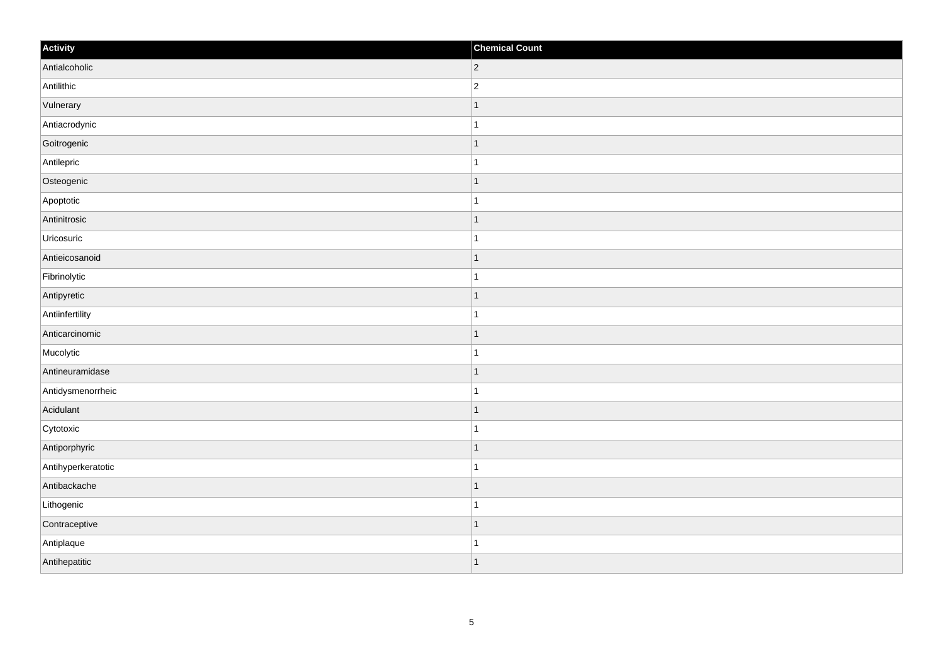| Activity           | <b>Chemical Count</b> |
|--------------------|-----------------------|
| Antialcoholic      | $ 2\rangle$           |
| Antilithic         | $\overline{c}$        |
| Vulnerary          | $\overline{1}$        |
| Antiacrodynic      | $\mathbf{1}$          |
| Goitrogenic        | $\overline{1}$        |
| Antilepric         | $\overline{1}$        |
| Osteogenic         | $\mathbf{1}$          |
| Apoptotic          | $\mathbf{1}$          |
| Antinitrosic       | $\overline{1}$        |
| Uricosuric         | $\mathbf{1}$          |
| Antieicosanoid     | $\mathbf{1}$          |
| Fibrinolytic       | $\overline{1}$        |
| Antipyretic        | $\vert$ 1             |
| Antiinfertility    | $\mathbf{1}$          |
| Anticarcinomic     | $\overline{1}$        |
| Mucolytic          | $\mathbf{1}$          |
| Antineuramidase    | $\overline{1}$        |
| Antidysmenorrheic  | $\overline{1}$        |
| Acidulant          | $\vert$ 1             |
| Cytotoxic          | $\mathbf{1}$          |
| Antiporphyric      | $\overline{1}$        |
| Antihyperkeratotic | $\mathbf{1}$          |
| Antibackache       | $\mathbf{1}$          |
| Lithogenic         | $\mathbf{1}$          |
| Contraceptive      | $\overline{1}$        |
| Antiplaque         | $\mathbf{1}$          |
| Antihepatitic      | $\mathbf{1}$          |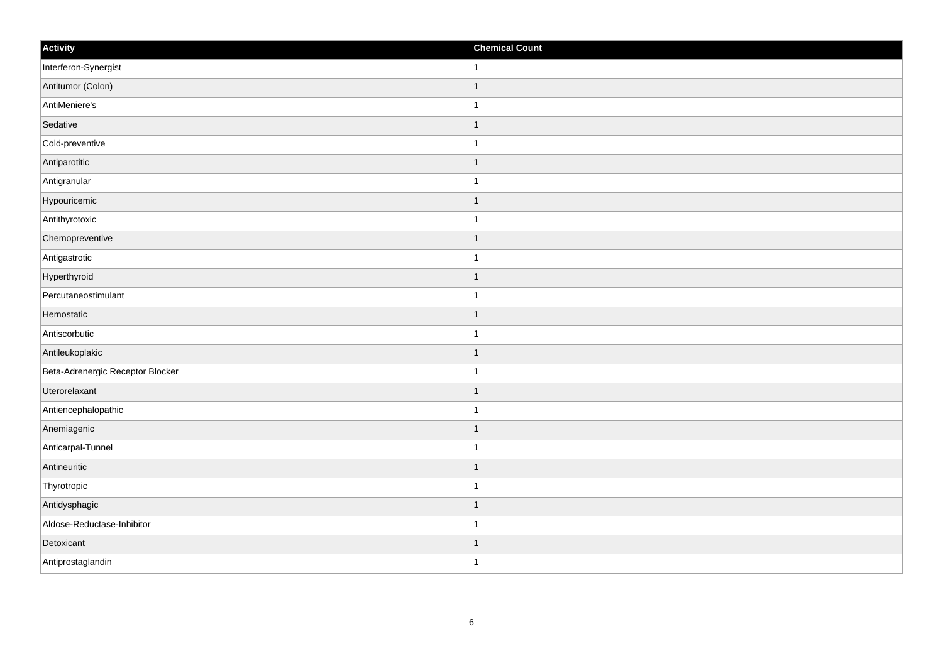| Activity                         | <b>Chemical Count</b> |
|----------------------------------|-----------------------|
| Interferon-Synergist             | $\mathbf{1}$          |
| Antitumor (Colon)                | $\mathbf{1}$          |
| AntiMeniere's                    | $\mathbf 1$           |
| Sedative                         | $\mathbf{1}$          |
| Cold-preventive                  | $\mathbf{1}$          |
| Antiparotitic                    | $\mathbf{1}$          |
| Antigranular                     | $\mathbf{1}$          |
| Hypouricemic                     | $\mathbf{1}$          |
| Antithyrotoxic                   | $\mathbf 1$           |
| Chemopreventive                  | $\vert$ 1             |
| Antigastrotic                    | $\mathbf{1}$          |
| Hyperthyroid                     | $\mathbf{1}$          |
| Percutaneostimulant              | $\mathbf{1}$          |
| Hemostatic                       | $\mathbf{1}$          |
| Antiscorbutic                    | $\mathbf{1}$          |
| Antileukoplakic                  | $\vert$ 1             |
| Beta-Adrenergic Receptor Blocker | $\mathbf{1}$          |
| Uterorelaxant                    | $\mathbf{1}$          |
| Antiencephalopathic              | $\mathbf{1}$          |
| Anemiagenic                      | $\mathbf{1}$          |
| Anticarpal-Tunnel                | $\mathbf{1}$          |
| Antineuritic                     | $\vert$ 1             |
| Thyrotropic                      | $\mathbf{1}$          |
| Antidysphagic                    | $\mathbf{1}$          |
| Aldose-Reductase-Inhibitor       | $\mathbf{1}$          |
| Detoxicant                       | $\mathbf{1}$          |
| Antiprostaglandin                | $\vert$ 1             |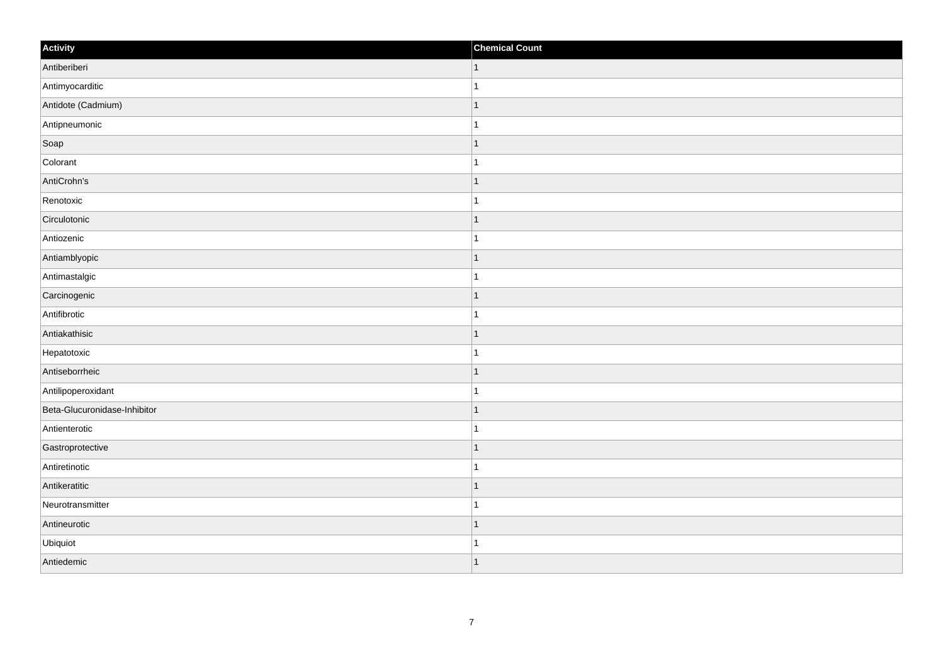| Activity                     | <b>Chemical Count</b>    |
|------------------------------|--------------------------|
| Antiberiberi                 | $\vert$ 1                |
| Antimyocarditic              |                          |
| Antidote (Cadmium)           | f.                       |
| Antipneumonic                |                          |
| Soap                         | $\mathbf 1$              |
| Colorant                     |                          |
| AntiCrohn's                  | 1                        |
| Renotoxic                    | 1                        |
| Circulotonic                 |                          |
| Antiozenic                   |                          |
| Antiamblyopic                | -1                       |
| Antimastalgic                |                          |
| Carcinogenic                 | 1                        |
| Antifibrotic                 | 1                        |
| Antiakathisic                |                          |
| Hepatotoxic                  |                          |
| Antiseborrheic               | $\overline{\phantom{a}}$ |
| Antilipoperoxidant           |                          |
| Beta-Glucuronidase-Inhibitor | 1                        |
| Antienterotic                | -1                       |
| Gastroprotective             | $\overline{\phantom{a}}$ |
| Antiretinotic                |                          |
| Antikeratitic                | $\overline{1}$           |
| Neurotransmitter             |                          |
| Antineurotic                 | 1                        |
| Ubiquiot                     |                          |
| Antiedemic                   | $\overline{ }$           |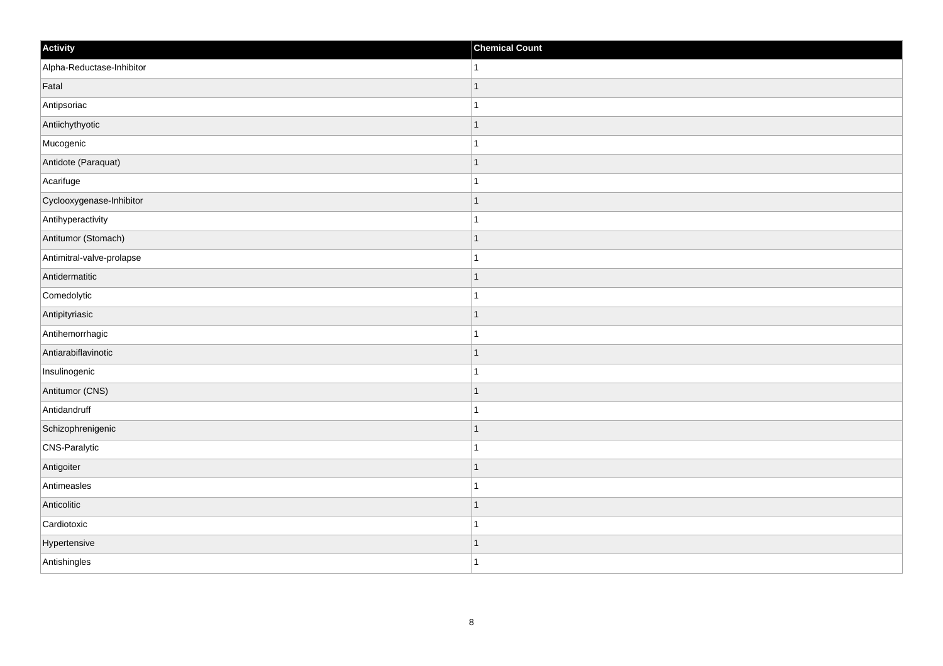| Activity                  | <b>Chemical Count</b>    |
|---------------------------|--------------------------|
| Alpha-Reductase-Inhibitor | 1                        |
| Fatal                     |                          |
| Antipsoriac               |                          |
| Antiichythyotic           | -1                       |
| Mucogenic                 | -1                       |
| Antidote (Paraquat)       |                          |
| Acarifuge                 |                          |
| Cyclooxygenase-Inhibitor  |                          |
| Antihyperactivity         |                          |
| Antitumor (Stomach)       | -1                       |
| Antimitral-valve-prolapse | 1                        |
| Antidermatitic            |                          |
| Comedolytic               |                          |
| Antipityriasic            |                          |
| Antihemorrhagic           |                          |
| Antiarabiflavinotic       | -1                       |
| Insulinogenic             | 1                        |
| Antitumor (CNS)           |                          |
| Antidandruff              |                          |
| Schizophrenigenic         |                          |
| CNS-Paralytic             |                          |
| Antigoiter                | $\overline{\phantom{a}}$ |
| Antimeasles               | 1                        |
| Anticolitic               |                          |
| Cardiotoxic               |                          |
| Hypertensive              |                          |
| Antishingles              | -1                       |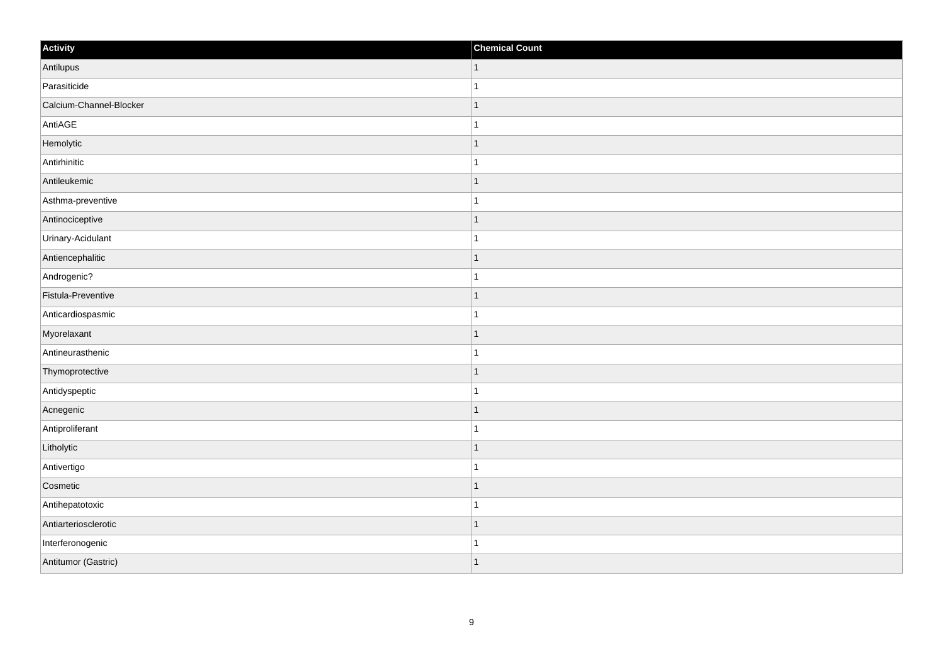| Activity                | <b>Chemical Count</b> |
|-------------------------|-----------------------|
| Antilupus               | $\vert$ 1             |
| Parasiticide            |                       |
| Calcium-Channel-Blocker |                       |
| AntiAGE                 |                       |
| Hemolytic               |                       |
| Antirhinitic            |                       |
| Antileukemic            | 1                     |
| Asthma-preventive       |                       |
| Antinociceptive         |                       |
| Urinary-Acidulant       |                       |
| Antiencephalitic        |                       |
| Androgenic?             |                       |
| Fistula-Preventive      | 1                     |
| Anticardiospasmic       | 1                     |
| Myorelaxant             |                       |
| Antineurasthenic        |                       |
| Thymoprotective         |                       |
| Antidyspeptic           |                       |
| Acnegenic               | 1                     |
| Antiproliferant         | 1                     |
| Litholytic              |                       |
| Antivertigo             |                       |
| Cosmetic                |                       |
| Antihepatotoxic         |                       |
| Antiarteriosclerotic    | -1                    |
| Interferonogenic        |                       |
| Antitumor (Gastric)     |                       |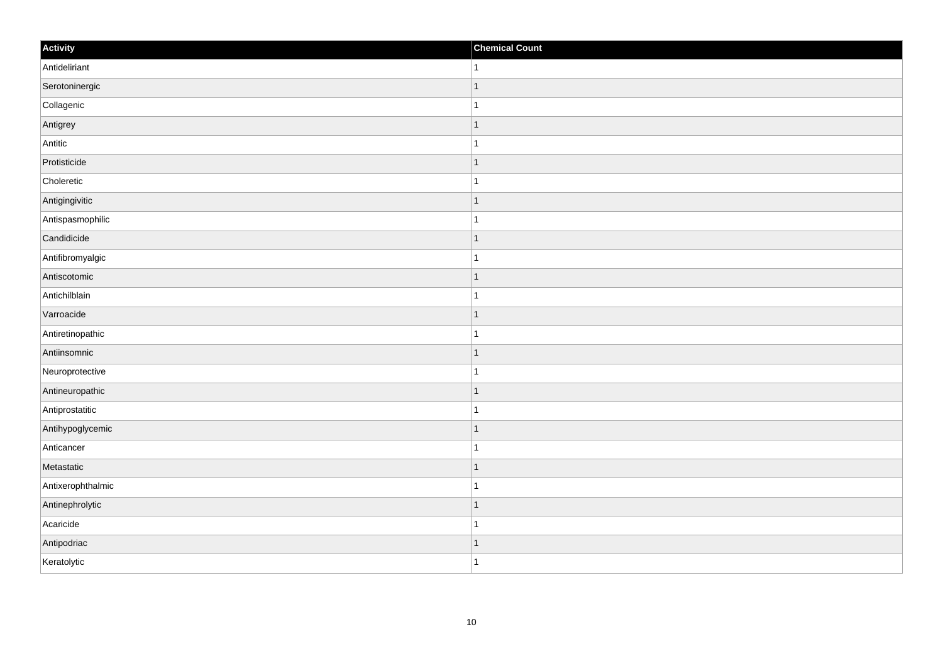| Activity          | <b>Chemical Count</b>    |
|-------------------|--------------------------|
| Antideliriant     | 1.                       |
| Serotoninergic    | $\overline{\phantom{a}}$ |
| Collagenic        |                          |
| Antigrey          | ∣ 1                      |
| Antitic           | $\mathbf{1}$             |
| Protisticide      |                          |
| Choleretic        |                          |
| Antigingivitic    | $\mathbf 1$              |
| Antispasmophilic  |                          |
| Candidicide       | 1                        |
| Antifibromyalgic  | 1                        |
| Antiscotomic      | f.                       |
| Antichilblain     |                          |
| Varroacide        |                          |
| Antiretinopathic  |                          |
| Antiinsomnic      | 1                        |
| Neuroprotective   | 1                        |
| Antineuropathic   |                          |
| Antiprostatitic   |                          |
| Antihypoglycemic  | 1                        |
| Anticancer        |                          |
| Metastatic        | $\overline{\phantom{a}}$ |
| Antixerophthalmic | -1                       |
| Antinephrolytic   | $\overline{\phantom{a}}$ |
| Acaricide         | -1                       |
| Antipodriac       | -1                       |
| Keratolytic       | $\overline{1}$           |